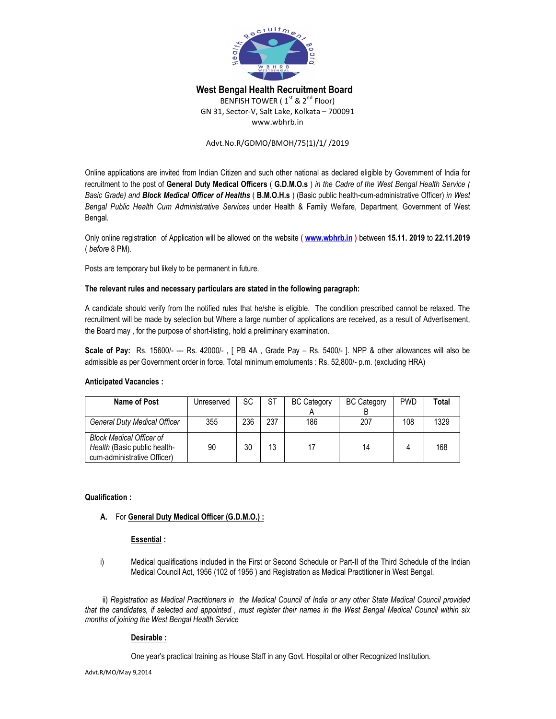

# **West Bengal Health Recruitment Board**

BENFISH TOWER ( $1<sup>st</sup>$  &  $2<sup>nd</sup>$  Floor) GN 31, Sector-V, Salt Lake, Kolkata – 700091 www.wbhrb.in

### Advt.No.R/GDMO/BMOH/75(1)/1/ /2019

Online applications are invited from Indian Citizen and such other national as declared eligible by Government of India for recruitment to the post of **General Duty Medical Officers** ( **G.D.M.O.s** ) *in the Cadre of the West Bengal Health Service ( Basic Grade) and Block Medical Officer of Healths* ( **B.M.O.H.s** ) (Basic public health-cum-administrative Officer) *in West Bengal Public Health Cum Administrative Services* under Health & Family Welfare, Department, Government of West Bengal.

Only online registration of Application will be allowed on the website **( www.wbhrb.in )** between **15.11. 2019** to **22.11.2019** ( *before* 8 PM).

Posts are temporary but likely to be permanent in future.

## **The relevant rules and necessary particulars are stated in the following paragraph:**

A candidate should verify from the notified rules that he/she is eligible. The condition prescribed cannot be relaxed. The recruitment will be made by selection but Where a large number of applications are received, as a result of Advertisement, the Board may , for the purpose of short-listing, hold a preliminary examination.

**Scale of Pay:** Rs. 15600/- --- Rs. 42000/- , [ PB 4A , Grade Pay – Rs. 5400/- ]. NPP & other allowances will also be admissible as per Government order in force. Total minimum emoluments : Rs. 52,800/- p.m. (excluding HRA)

#### **Anticipated Vacancies :**

| Name of Post                                                                                   | Unreserved | SC  | <b>ST</b> | <b>BC Category</b> | <b>BC Category</b> | <b>PWD</b> | Total |
|------------------------------------------------------------------------------------------------|------------|-----|-----------|--------------------|--------------------|------------|-------|
| <b>General Duty Medical Officer</b>                                                            | 355        | 236 | 237       | 186                | 207                | 108        | 1329  |
| <b>Block Medical Officer of</b><br>Health (Basic public health-<br>cum-administrative Officer) | 90         | 30  | 13        |                    | 14                 |            | 168   |

#### **Qualification :**

## **A.** For **General Duty Medical Officer (G.D.M.O.) :**

### **Essential :**

i) Medical qualifications included in the First or Second Schedule or Part-II of the Third Schedule of the Indian Medical Council Act, 1956 (102 of 1956 ) and Registration as Medical Practitioner in West Bengal.

ii) *Registration as Medical Practitioners in the Medical Council of India or any other State Medical Council provided that the candidates, if selected and appointed , must register their names in the West Bengal Medical Council within six months of joining the West Bengal Health Service*

#### **Desirable :**

One year's practical training as House Staff in any Govt. Hospital or other Recognized Institution.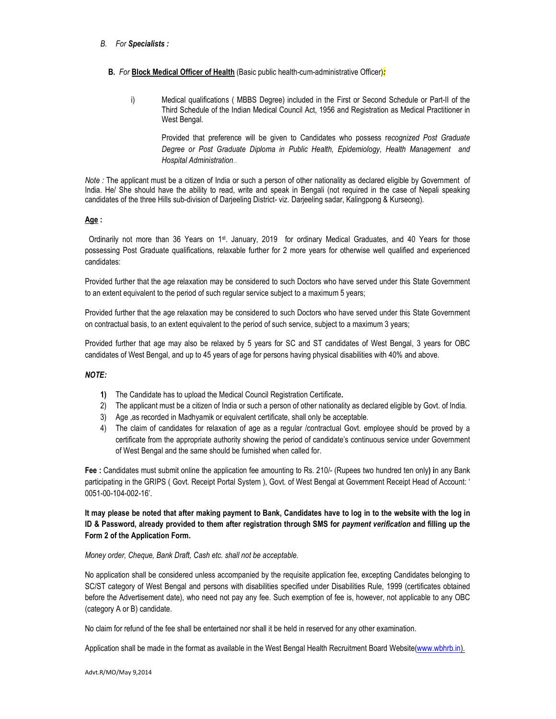#### *B. For Specialists :*

#### **B.** *For* **Block Medical Officer of Health** (Basic public health-cum-administrative Officer)*:*

i) Medical qualifications ( MBBS Degree) included in the First or Second Schedule or Part-II of the Third Schedule of the Indian Medical Council Act, 1956 and Registration as Medical Practitioner in West Bengal.

Provided that preference will be given to Candidates who possess r*ecognized Post Graduate Degree or Post Graduate Diploma in Public Health, Epidemiology, Health Management and Hospital Administration..*

*Note :* The applicant must be a citizen of India or such a person of other nationality as declared eligible by Government of India. He/ She should have the ability to read, write and speak in Bengali (not required in the case of Nepali speaking candidates of the three Hills sub-division of Darjeeling District- viz. Darjeeling sadar, Kalingpong & Kurseong).

#### **Age :**

Ordinarily not more than 36 Years on 1st. January, 2019 for ordinary Medical Graduates, and 40 Years for those possessing Post Graduate qualifications, relaxable further for 2 more years for otherwise well qualified and experienced candidates:

Provided further that the age relaxation may be considered to such Doctors who have served under this State Government to an extent equivalent to the period of such regular service subject to a maximum 5 years;

Provided further that the age relaxation may be considered to such Doctors who have served under this State Government on contractual basis, to an extent equivalent to the period of such service, subject to a maximum 3 years;

Provided further that age may also be relaxed by 5 years for SC and ST candidates of West Bengal, 3 years for OBC candidates of West Bengal, and up to 45 years of age for persons having physical disabilities with 40% and above.

#### *NOTE:*

- **1)** The Candidate has to upload the Medical Council Registration Certificate**.**
- 2) The applicant must be a citizen of India or such a person of other nationality as declared eligible by Govt. of India.
- 3) Age ,as recorded in Madhyamik or equivalent certificate, shall only be acceptable.
- 4) The claim of candidates for relaxation of age as a regular /contractual Govt. employee should be proved by a certificate from the appropriate authority showing the period of candidate's continuous service under Government of West Bengal and the same should be furnished when called for.

**Fee :** Candidates must submit online the application fee amounting to Rs. 210/- (Rupees two hundred ten only**) i**n any Bank participating in the GRIPS ( Govt. Receipt Portal System ), Govt. of West Bengal at Government Receipt Head of Account: ' 0051-00-104-002-16'.

**It may please be noted that after making payment to Bank, Candidates have to log in to the website with the log in ID & Password, already provided to them after registration through SMS for** *payment verification* **and filling up the Form 2 of the Application Form.**

#### *Money order, Cheque, Bank Draft, Cash etc. shall not be acceptable.*

No application shall be considered unless accompanied by the requisite application fee, excepting Candidates belonging to SC/ST category of West Bengal and persons with disabilities specified under Disabilities Rule, 1999 (certificates obtained before the Advertisement date), who need not pay any fee. Such exemption of fee is, however, not applicable to any OBC (category A or B) candidate.

No claim for refund of the fee shall be entertained nor shall it be held in reserved for any other examination.

Application shall be made in the format as available in the West Bengal Health Recruitment Board Website(www.wbhrb.in).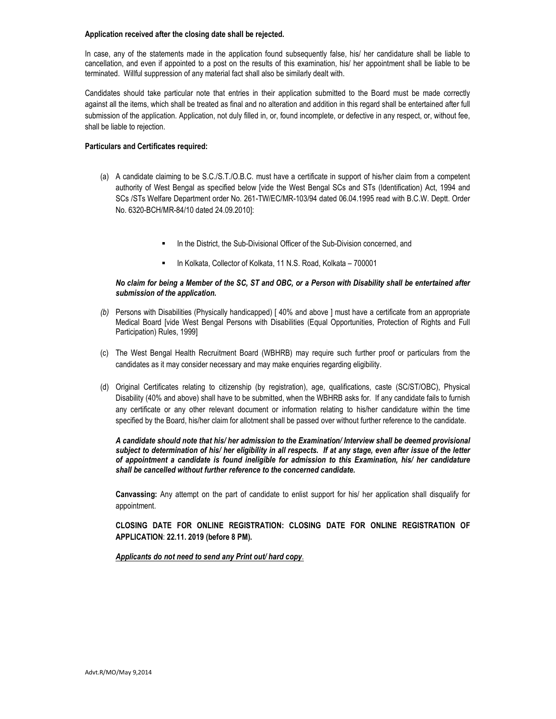#### **Application received after the closing date shall be rejected.**

In case, any of the statements made in the application found subsequently false, his/ her candidature shall be liable to cancellation, and even if appointed to a post on the results of this examination, his/ her appointment shall be liable to be terminated. Willful suppression of any material fact shall also be similarly dealt with.

Candidates should take particular note that entries in their application submitted to the Board must be made correctly against all the items, which shall be treated as final and no alteration and addition in this regard shall be entertained after full submission of the application. Application, not duly filled in, or, found incomplete, or defective in any respect, or, without fee, shall be liable to rejection.

#### **Particulars and Certificates required:**

- (a) A candidate claiming to be S.C./S.T./O.B.C. must have a certificate in support of his/her claim from a competent authority of West Bengal as specified below [vide the West Bengal SCs and STs (Identification) Act, 1994 and SCs /STs Welfare Department order No. 261-TW/EC/MR-103/94 dated 06.04.1995 read with B.C.W. Deptt. Order No. 6320-BCH/MR-84/10 dated 24.09.2010]:
	- In the District, the Sub-Divisional Officer of the Sub-Division concerned, and
	- In Kolkata, Collector of Kolkata, 11 N.S. Road, Kolkata 700001

#### *No claim for being a Member of the SC, ST and OBC, or a Person with Disability shall be entertained after submission of the application.*

- *(b)* Persons with Disabilities (Physically handicapped) [ 40% and above ] must have a certificate from an appropriate Medical Board [vide West Bengal Persons with Disabilities (Equal Opportunities, Protection of Rights and Full Participation) Rules, 1999]
- (c) The West Bengal Health Recruitment Board (WBHRB) may require such further proof or particulars from the candidates as it may consider necessary and may make enquiries regarding eligibility.
- (d) Original Certificates relating to citizenship (by registration), age, qualifications, caste (SC/ST/OBC), Physical Disability (40% and above) shall have to be submitted, when the WBHRB asks for. If any candidate fails to furnish any certificate or any other relevant document or information relating to his/her candidature within the time specified by the Board, his/her claim for allotment shall be passed over without further reference to the candidate.

#### *A candidate should note that his/ her admission to the Examination/ Interview shall be deemed provisional subject to determination of his/ her eligibility in all respects. If at any stage, even after issue of the letter of appointment a candidate is found ineligible for admission to this Examination, his/ her candidature shall be cancelled without further reference to the concerned candidate.*

**Canvassing:** Any attempt on the part of candidate to enlist support for his/ her application shall disqualify for appointment.

**CLOSING DATE FOR ONLINE REGISTRATION: CLOSING DATE FOR ONLINE REGISTRATION OF APPLICATION**: **22.11. 2019 (before 8 PM).**

*Applicants do not need to send any Print out/ hard copy*.